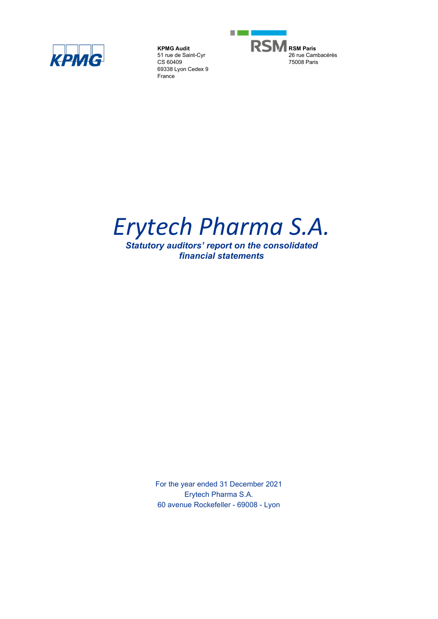

**KPMG Audit** 51 rue de Saint-Cyr CS 60409 69338 Lyon Cedex 9 France



# *Erytech Pharma S.A.*

*Statutory auditors' report on the consolidated financial statements*

> For the year ended 31 December 2021 Erytech Pharma S.A. 60 avenue Rockefeller - 69008 - Lyon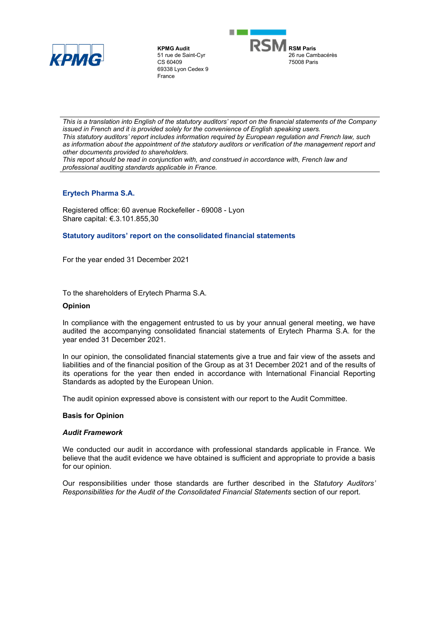

**KPMG Audit** 51 rue de Saint-Cyr CS 60409 69338 Lyon Cedex 9 France



*This is a translation into English of the statutory auditors' report on the financial statements of the Company issued in French and it is provided solely for the convenience of English speaking users. This statutory auditors' report includes information required by European regulation and French law, such*  as information about the appointment of the statutory auditors or verification of the management report and *other documents provided to shareholders.*

*This report should be read in conjunction with, and construed in accordance with, French law and professional auditing standards applicable in France.*

# **Erytech Pharma S.A.**

Registered office: 60 avenue Rockefeller - 69008 - Lyon Share capital: €.3.101.855,30

## **Statutory auditors' report on the consolidated financial statements**

For the year ended 31 December 2021

To the shareholders of Erytech Pharma S.A.

#### **Opinion**

In compliance with the engagement entrusted to us by your annual general meeting, we have audited the accompanying consolidated financial statements of Erytech Pharma S.A. for the year ended 31 December 2021.

In our opinion, the consolidated financial statements give a true and fair view of the assets and liabilities and of the financial position of the Group as at 31 December 2021 and of the results of its operations for the year then ended in accordance with International Financial Reporting Standards as adopted by the European Union.

The audit opinion expressed above is consistent with our report to the Audit Committee.

## **Basis for Opinion**

## *Audit Framework*

We conducted our audit in accordance with professional standards applicable in France. We believe that the audit evidence we have obtained is sufficient and appropriate to provide a basis for our opinion.

Our responsibilities under those standards are further described in the *Statutory Auditors' Responsibilities for the Audit of the Consolidated Financial Statements* section of our report.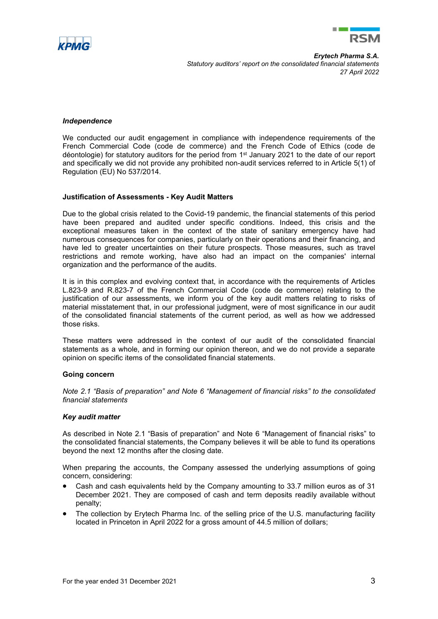



*Erytech Pharma S.A. Statutory auditors' report on the consolidated financial statements 27 April 2022*

#### *Independence*

We conducted our audit engagement in compliance with independence requirements of the French Commercial Code (code de commerce) and the French Code of Ethics (code de déontologie) for statutory auditors for the period from 1st January 2021 to the date of our report and specifically we did not provide any prohibited non-audit services referred to in Article 5(1) of Regulation (EU) No 537/2014.

#### **Justification of Assessments - Key Audit Matters**

Due to the global crisis related to the Covid-19 pandemic, the financial statements of this period have been prepared and audited under specific conditions. Indeed, this crisis and the exceptional measures taken in the context of the state of sanitary emergency have had numerous consequences for companies, particularly on their operations and their financing, and have led to greater uncertainties on their future prospects. Those measures, such as travel restrictions and remote working, have also had an impact on the companies' internal organization and the performance of the audits.

It is in this complex and evolving context that, in accordance with the requirements of Articles L.823-9 and R.823-7 of the French Commercial Code (code de commerce) relating to the justification of our assessments, we inform you of the key audit matters relating to risks of material misstatement that, in our professional judgment, were of most significance in our audit of the consolidated financial statements of the current period, as well as how we addressed those risks.

These matters were addressed in the context of our audit of the consolidated financial statements as a whole, and in forming our opinion thereon, and we do not provide a separate opinion on specific items of the consolidated financial statements.

#### **Going concern**

*Note 2.1 "Basis of preparation" and Note 6 "Management of financial risks" to the consolidated financial statements* 

#### *Key audit matter*

As described in Note 2.1 "Basis of preparation" and Note 6 "Management of financial risks" to the consolidated financial statements, the Company believes it will be able to fund its operations beyond the next 12 months after the closing date.

When preparing the accounts, the Company assessed the underlying assumptions of going concern, considering:

- Cash and cash equivalents held by the Company amounting to 33.7 million euros as of 31 December 2021. They are composed of cash and term deposits readily available without penalty;
- The collection by Erytech Pharma Inc. of the selling price of the U.S. manufacturing facility located in Princeton in April 2022 for a gross amount of 44.5 million of dollars;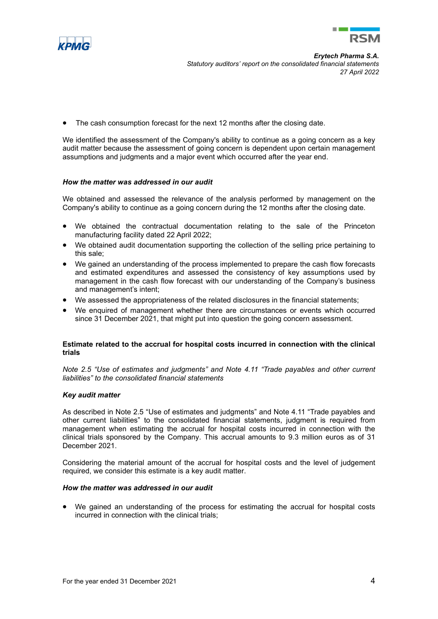



The cash consumption forecast for the next 12 months after the closing date.

We identified the assessment of the Company's ability to continue as a going concern as a key audit matter because the assessment of going concern is dependent upon certain management assumptions and judgments and a major event which occurred after the year end.

## *How the matter was addressed in our audit*

We obtained and assessed the relevance of the analysis performed by management on the Company's ability to continue as a going concern during the 12 months after the closing date.

- We obtained the contractual documentation relating to the sale of the Princeton manufacturing facility dated 22 April 2022;
- We obtained audit documentation supporting the collection of the selling price pertaining to this sale;
- We gained an understanding of the process implemented to prepare the cash flow forecasts and estimated expenditures and assessed the consistency of key assumptions used by management in the cash flow forecast with our understanding of the Company's business and management's intent;
- We assessed the appropriateness of the related disclosures in the financial statements;
- We enquired of management whether there are circumstances or events which occurred since 31 December 2021, that might put into question the going concern assessment.

## **Estimate related to the accrual for hospital costs incurred in connection with the clinical trials**

*Note 2.5 "Use of estimates and judgments" and Note 4.11 "Trade payables and other current liabilities" to the consolidated financial statements* 

## *Key audit matter*

As described in Note 2.5 "Use of estimates and judgments" and Note 4.11 "Trade payables and other current liabilities" to the consolidated financial statements, judgment is required from management when estimating the accrual for hospital costs incurred in connection with the clinical trials sponsored by the Company. This accrual amounts to 9.3 million euros as of 31 December 2021.

Considering the material amount of the accrual for hospital costs and the level of judgement required, we consider this estimate is a key audit matter.

#### *How the matter was addressed in our audit*

• We gained an understanding of the process for estimating the accrual for hospital costs incurred in connection with the clinical trials;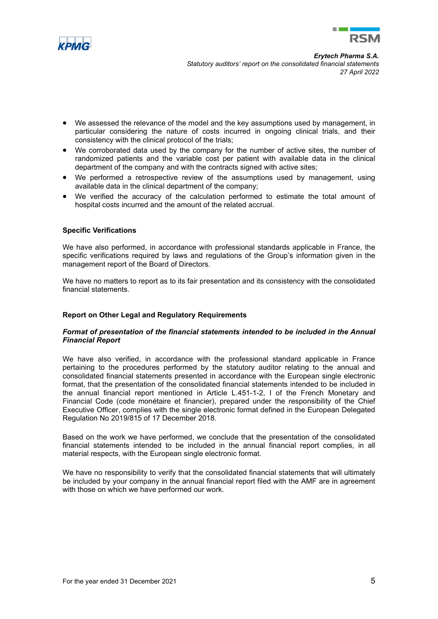



- We assessed the relevance of the model and the key assumptions used by management, in particular considering the nature of costs incurred in ongoing clinical trials, and their consistency with the clinical protocol of the trials;
- We corroborated data used by the company for the number of active sites, the number of randomized patients and the variable cost per patient with available data in the clinical department of the company and with the contracts signed with active sites;
- We performed a retrospective review of the assumptions used by management, using available data in the clinical department of the company;
- We verified the accuracy of the calculation performed to estimate the total amount of hospital costs incurred and the amount of the related accrual.

# **Specific Verifications**

We have also performed, in accordance with professional standards applicable in France, the specific verifications required by laws and regulations of the Group's information given in the management report of the Board of Directors*.*

We have no matters to report as to its fair presentation and its consistency with the consolidated financial statements.

# **Report on Other Legal and Regulatory Requirements**

## *Format of presentation of the financial statements intended to be included in the Annual Financial Report*

We have also verified, in accordance with the professional standard applicable in France pertaining to the procedures performed by the statutory auditor relating to the annual and consolidated financial statements presented in accordance with the European single electronic format, that the presentation of the consolidated financial statements intended to be included in the annual financial report mentioned in Article L.451-1-2, I of the French Monetary and Financial Code (code monétaire et financier), prepared under the responsibility of the Chief Executive Officer, complies with the single electronic format defined in the European Delegated Regulation No 2019/815 of 17 December 2018.

Based on the work we have performed, we conclude that the presentation of the consolidated financial statements intended to be included in the annual financial report complies, in all material respects, with the European single electronic format.

We have no responsibility to verify that the consolidated financial statements that will ultimately be included by your company in the annual financial report filed with the AMF are in agreement with those on which we have performed our work.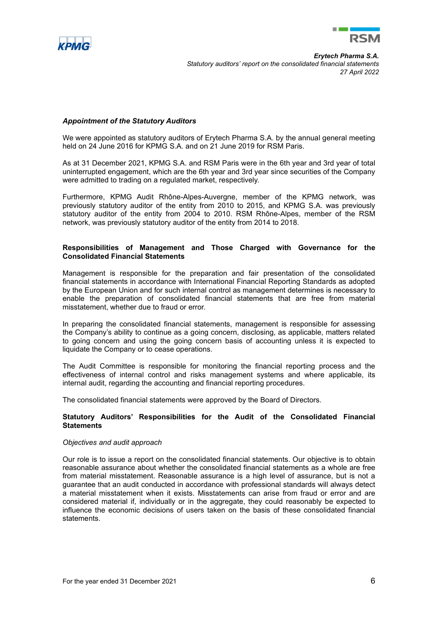



*Erytech Pharma S.A. Statutory auditors' report on the consolidated financial statements 27 April 2022*

## *Appointment of the Statutory Auditors*

We were appointed as statutory auditors of Erytech Pharma S.A. by the annual general meeting held on 24 June 2016 for KPMG S.A. and on 21 June 2019 for RSM Paris.

As at 31 December 2021, KPMG S.A. and RSM Paris were in the 6th year and 3rd year of total uninterrupted engagement, which are the 6th year and 3rd year since securities of the Company were admitted to trading on a regulated market, respectively.

Furthermore, KPMG Audit Rhône-Alpes-Auvergne, member of the KPMG network, was previously statutory auditor of the entity from 2010 to 2015, and KPMG S.A. was previously statutory auditor of the entity from 2004 to 2010. RSM Rhône-Alpes, member of the RSM network, was previously statutory auditor of the entity from 2014 to 2018.

## **Responsibilities of Management and Those Charged with Governance for the Consolidated Financial Statements**

Management is responsible for the preparation and fair presentation of the consolidated financial statements in accordance with International Financial Reporting Standards as adopted by the European Union and for such internal control as management determines is necessary to enable the preparation of consolidated financial statements that are free from material misstatement, whether due to fraud or error.

In preparing the consolidated financial statements, management is responsible for assessing the Company's ability to continue as a going concern, disclosing, as applicable, matters related to going concern and using the going concern basis of accounting unless it is expected to liquidate the Company or to cease operations.

The Audit Committee is responsible for monitoring the financial reporting process and the effectiveness of internal control and risks management systems and where applicable, its internal audit, regarding the accounting and financial reporting procedures.

The consolidated financial statements were approved by the Board of Directors.

# **Statutory Auditors' Responsibilities for the Audit of the Consolidated Financial Statements**

## *Objectives and audit approach*

Our role is to issue a report on the consolidated financial statements. Our objective is to obtain reasonable assurance about whether the consolidated financial statements as a whole are free from material misstatement. Reasonable assurance is a high level of assurance, but is not a guarantee that an audit conducted in accordance with professional standards will always detect a material misstatement when it exists. Misstatements can arise from fraud or error and are considered material if, individually or in the aggregate, they could reasonably be expected to influence the economic decisions of users taken on the basis of these consolidated financial statements.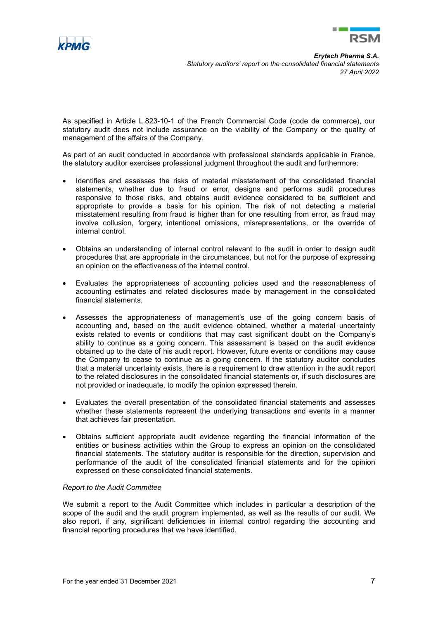



As specified in Article L.823-10-1 of the French Commercial Code (code de commerce), our statutory audit does not include assurance on the viability of the Company or the quality of management of the affairs of the Company.

As part of an audit conducted in accordance with professional standards applicable in France, the statutory auditor exercises professional judgment throughout the audit and furthermore:

- Identifies and assesses the risks of material misstatement of the consolidated financial statements, whether due to fraud or error, designs and performs audit procedures responsive to those risks, and obtains audit evidence considered to be sufficient and appropriate to provide a basis for his opinion. The risk of not detecting a material misstatement resulting from fraud is higher than for one resulting from error, as fraud may involve collusion, forgery, intentional omissions, misrepresentations, or the override of internal control.
- Obtains an understanding of internal control relevant to the audit in order to design audit procedures that are appropriate in the circumstances, but not for the purpose of expressing an opinion on the effectiveness of the internal control.
- Evaluates the appropriateness of accounting policies used and the reasonableness of accounting estimates and related disclosures made by management in the consolidated financial statements.
- Assesses the appropriateness of management's use of the going concern basis of accounting and, based on the audit evidence obtained, whether a material uncertainty exists related to events or conditions that may cast significant doubt on the Company's ability to continue as a going concern. This assessment is based on the audit evidence obtained up to the date of his audit report. However, future events or conditions may cause the Company to cease to continue as a going concern. If the statutory auditor concludes that a material uncertainty exists, there is a requirement to draw attention in the audit report to the related disclosures in the consolidated financial statements or, if such disclosures are not provided or inadequate, to modify the opinion expressed therein.
- Evaluates the overall presentation of the consolidated financial statements and assesses whether these statements represent the underlying transactions and events in a manner that achieves fair presentation.
- Obtains sufficient appropriate audit evidence regarding the financial information of the entities or business activities within the Group to express an opinion on the consolidated financial statements. The statutory auditor is responsible for the direction, supervision and performance of the audit of the consolidated financial statements and for the opinion expressed on these consolidated financial statements.

## *Report to the Audit Committee*

We submit a report to the Audit Committee which includes in particular a description of the scope of the audit and the audit program implemented, as well as the results of our audit. We also report, if any, significant deficiencies in internal control regarding the accounting and financial reporting procedures that we have identified.